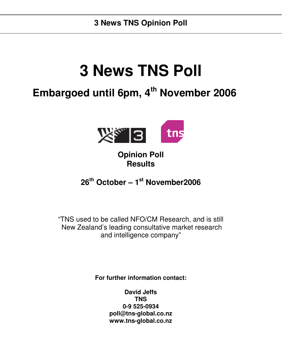# **3 News TNS Poll**

## **Embargoed until 6pm, 4 th November 2006**



## **Opinion Poll Results**

## **26 th October – 1 st November2006**

"TNS used to be called NFO/CM Research, and is still New Zealand's leading consultative market research and intelligence company"

**For further information contact:**

**David Jeffs TNS 0-9 525-0934 poll@tns-global.co.nz www.tns-global.co.nz**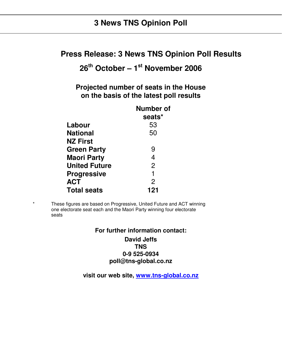#### **Press Release: 3 News TNS Opinion Poll Results**

## **26 th October – 1 st November 2006**

**Projected number of seats in the House on the basis of the latest poll results**

| <b>Number of</b> |
|------------------|
| seats*           |
| 53               |
| 50               |
|                  |
| 9                |
| $\overline{4}$   |
| $\overline{2}$   |
| 1                |
| $\overline{2}$   |
| 121              |
|                  |

\* These figures are based on Progressive, United Future and ACT winning one electorate seat each and the Maori Party winning four electorate seats

## **For further information contact:**

#### **David Jeffs TNS 0-9 525-0934 poll@tns-global.co.nz**

**visit our web site, www.tns-global.co.nz**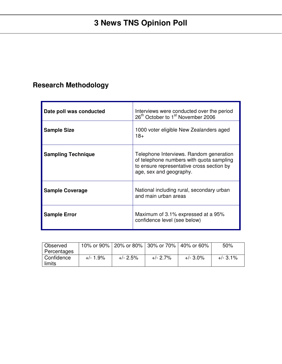## **Research Methodology**

| Date poll was conducted   | Interviews were conducted over the period<br>26 <sup>th</sup> October to 1 <sup>st</sup> November 2006                                                      |
|---------------------------|-------------------------------------------------------------------------------------------------------------------------------------------------------------|
| <b>Sample Size</b>        | 1000 voter eligible New Zealanders aged<br>$18+$                                                                                                            |
| <b>Sampling Technique</b> | Telephone Interviews. Random generation<br>of telephone numbers with quota sampling<br>to ensure representative cross section by<br>age, sex and geography. |
| <b>Sample Coverage</b>    | National including rural, secondary urban<br>and main urban areas                                                                                           |
| <b>Sample Error</b>       | Maximum of 3.1% expressed at a 95%<br>confidence level (see below)                                                                                          |

| Observed     |             |             | 10% or 90%   20% or 80%   30% or 70%   40% or 60% |             | 50%        |
|--------------|-------------|-------------|---------------------------------------------------|-------------|------------|
| Percentages  |             |             |                                                   |             |            |
| I Confidence | $+/- 1.9\%$ | $+/- 2.5\%$ | +/- 2.7%                                          | $+/- 3.0\%$ | $+/-$ 3.1% |
| limits       |             |             |                                                   |             |            |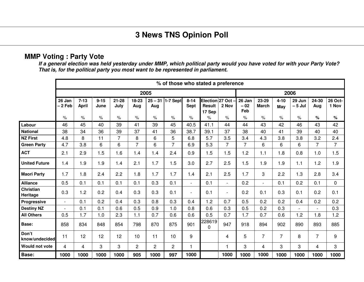#### **MMP Voting : Party Vote**

If a general election was held yesterday under MMP, which political party would you have voted for with your Party Vote? *That is, for the political party you most want to be represented in parliament.*

|                              |                          |                   |                  |                   |                |                  | % of those who stated a preference |                  |                                     |                          |                        |                          |                 |                    |                |                  |
|------------------------------|--------------------------|-------------------|------------------|-------------------|----------------|------------------|------------------------------------|------------------|-------------------------------------|--------------------------|------------------------|--------------------------|-----------------|--------------------|----------------|------------------|
|                              |                          |                   |                  |                   |                | 2005             |                                    |                  |                                     |                          |                        |                          |                 | 2006               |                |                  |
|                              | 26 Jan<br>- 2 Feb        | $7 - 13$<br>April | $9 - 15$<br>June | $21 - 28$<br>July | 18-23<br>Aug   | $25 - 31$<br>Aug | 1-7 Sept                           | $8 - 14$<br>Sept | Election 27 Oct<br>Result<br>17 Sep | 2 Nov                    | 26 Jan<br>$-02$<br>Feb | 23-29<br><b>March</b>    | $4 - 10$<br>May | 29 Jun<br>$-5$ Jul | 24-30<br>Aug   | 26 Oct-<br>1 Nov |
|                              | $\%$                     | $\%$              | $\%$             | $\%$              | $\%$           | $\%$             | $\%$                               | $\%$             | $\%$                                | $\%$                     | $\%$                   | $\%$                     | $\%$            | $\%$               | $\%$           | $\%$             |
| Labour                       | 46                       | 45                | 40               | 39                | 41             | 39               | 45                                 | 40.5             | 41.1                                | 44                       | 44                     | 43                       | 42              | 46                 | 43             | 42               |
| <b>National</b>              | 38                       | 34                | 36               | 39                | 37             | 41               | 36                                 | 38.7             | 39.1                                | 37                       | 38                     | 40                       | 41              | 39                 | 40             | 40               |
| <b>NZ First</b>              | 4.8                      | 8                 | 11               | $\overline{7}$    | 8              | 6                | 5                                  | 6.8              | 5.7                                 | 3.5                      | 3.4                    | 4.3                      | 3.8             | 3.8                | 3.2            | 2.4              |
| <b>Green Party</b>           | 4.7                      | 3.8               | 6                | $6\phantom{1}$    | $\overline{7}$ | 6                | $\overline{7}$                     | 6.9              | 5.3                                 | $\overline{7}$           | $\overline{7}$         | 6                        | 6               | 6                  | $\overline{7}$ | $\overline{7}$   |
| <b>ACT</b>                   | 2.1                      | 2.9               | 1.5              | 1.6               | 1.4            | 1.4              | 2.4                                | 0.9              | 1.5                                 | 1.5                      | 1.2                    | 1.1                      | 1.8             | 0.8                | 1.0            | 1.5              |
| <b>United Future</b>         | 1.4                      | 1.9               | 1.9              | 1.4               | 2.1            | 1.7              | 1.5                                | 3.0              | 2.7                                 | 2.5                      | 1.5                    | 1.9                      | 1.9             | 1.1                | 1.2            | 1.9              |
| <b>Maori Party</b>           | 1.7                      | 1.8               | 2.4              | 2.2               | 1.8            | 1.7              | 1.7                                | 1.4              | 2.1                                 | 2.5                      | 1.7                    | 3                        | 2.2             | 1.3                | 2.8            | 3.4              |
| <b>Alliance</b>              | 0.5                      | 0.1               | 0.1              | 0.1               | 0.1            | 0.3              | 0.1                                | $\blacksquare$   | 0.1                                 | $\overline{\phantom{a}}$ | 0.2                    | $\overline{\phantom{0}}$ | 0.1             | 0.2                | 0.1            | 0                |
| <b>Christian</b><br>Heritage | 0.3                      | 1.2               | 0.2              | 0.4               | 0.3            | 0.3              | 0.1                                | $\blacksquare$   | 0.1                                 | $\blacksquare$           | 0.2                    | 0.1                      | 0.3             | 0.1                | 0.2            | 0.1              |
| Progressive                  | $\overline{\phantom{a}}$ | 0.1               | 0.2              | 0.4               | 0.3            | 0.8              | 0.3                                | 0.4              | 1.2                                 | 0.7                      | 0.5                    | 0.2                      | 0.2             | 0.4                | 0.2            | 0.2              |
| <b>Destiny NZ</b>            | $\overline{\phantom{a}}$ | 0.1               | 0.1              | 0.6               | 0.5            | 0.9              | 1.0                                | 0.8              | 0.6                                 | 0.3                      | 0.5                    | 0.2                      | 0.3             |                    |                | 0.3              |
| <b>All Others</b>            | 0.5                      | 1.7               | 1.0              | 2.3               | 1.1            | 0.7              | 0.6                                | 0.6              | 0.5                                 | 0.7                      | 1.7                    | 0.7                      | 0.6             | 1.2                | 1.8            | 1.2              |
| Base:                        | 858                      | 834               | 848              | 854               | 798            | 870              | 875                                | 901              | 228619<br>$\mathbf 0$               | 947                      | 918                    | 894                      | 902             | 890                | 893            | 885              |
| Don't<br>know/undecided      | 11                       | 12                | 12               | 12                | 10             | 11               | 10                                 | 9                |                                     | 4                        | 5                      | $\overline{7}$           | $\overline{7}$  | 8                  | $\overline{7}$ | 9                |
| <b>Would not vote</b>        | $\overline{4}$           | 4                 | 3                | 3                 | $\overline{c}$ | $\overline{2}$   | $\overline{c}$                     | $\mathbf{1}$     |                                     | 1                        | 3                      | 4                        | 3               | 3                  | 4              | 3                |
| Base:                        | 1000                     | 1000              | 1000             | 1000              | 905            | 1000             | 997                                | 1000             |                                     | 1000                     | 1000                   | 1000                     | 1000            | 1000               | 1000           | 1000             |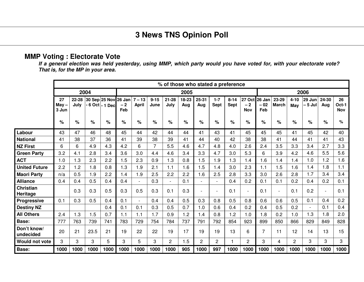#### **MMP Voting : Electorate Vote**

If a general election was held yesterday, using MMP, which party would you have voted for, with your electorate vote? *That is, for the MP in your area.*

|                          |                        |               |      |                 |                                     |                          |                  | % of those who stated a preference |              |                          |                        |                  |                              |                        |                |                 |                          |                |                           |
|--------------------------|------------------------|---------------|------|-----------------|-------------------------------------|--------------------------|------------------|------------------------------------|--------------|--------------------------|------------------------|------------------|------------------------------|------------------------|----------------|-----------------|--------------------------|----------------|---------------------------|
|                          |                        |               | 2004 |                 |                                     |                          |                  |                                    | 2005         |                          |                        |                  |                              |                        |                |                 | 2006                     |                |                           |
|                          | 27<br>$May -$<br>3 Jun | 22-28<br>July |      | - 6 Oct - 1 Dec | 30 Sep 25 Nov 26 Jan<br>$-2$<br>Feb | $7 - 13$<br><b>April</b> | $9 - 15$<br>June | $21 - 28$<br>July                  | 18-23<br>Aug | $25 - 31$<br>Aug         | $1 - 7$<br><b>Sept</b> | $8 - 14$<br>Sept | 27 Oct<br>$-2$<br><b>Nov</b> | 26 Jan<br>$-02$<br>Feb | 23-29<br>March | $4 - 10$<br>May | 29 Jun<br>– 5 Jul        | 24-30<br>Aug   | 26<br>Oct-1<br><b>Nov</b> |
|                          | %                      | %             | %    | $\%$            | $\%$                                | $\%$                     | %                | $\%$                               | $\%$         | %                        | $\%$                   | $\%$             | $\%$                         | %                      | $\%$           | %               | $\%$                     | %              | ℅                         |
| Labour                   | 43                     | 47            | 46   | 48              | 45                                  | 44                       | 42               | 44                                 | 44           | 41                       | 43                     | 41               | 45                           | 45                     | 45             | 41              | 45                       | 42             | 40                        |
| <b>National</b>          | 41                     | 38            | 37   | 36              | 41                                  | 39                       | 38               | 39                                 | 41           | 44                       | 40                     | 42               | 38                           | 38                     | 41             | 44              | 41                       | 41             | 43                        |
| <b>NZ First</b>          | 6                      | 6             | 4.9  | 4.3             | 4.2                                 | 6                        | $\overline{7}$   | 5.5                                | 4.6          | 4.7                      | 4.8                    | 4.0              | 2.6                          | 2.4                    | 3.5            | 3.3             | 3.4                      | 2.7            | 3.3                       |
| <b>Green Party</b>       | 3.2                    | 4.1           | 2.8  | 3.4             | 3.6                                 | 3.0                      | 4.4              | 4.6                                | 3.4          | 3.3                      | 4.7                    | 3.0              | 5.3                          | 6                      | 3.9            | 4.2             | 4.6                      | 5.5            | 5.6                       |
| <b>ACT</b>               | 1.0                    | 1.3           | 2.3  | 2.2             | 1.5                                 | 2.3                      | 0.9              | 1.3                                | 0.8          | 1.5                      | 1.9                    | 1.3              | 1.4                          | 1.6                    | 1.4            | 1.4             | 1.0                      | 1.2            | 1.6                       |
| <b>United Future</b>     | 2.2                    | 1.2           | 1.8  | 0.8             | 1.3                                 | 1.9                      | 2.1              | 1.1                                | 1.6          | 1.5                      | 1.4                    | 3.0              | 2.3                          | 1.1                    | 1.5            | 1.6             | 1.4                      | 1.8            | 1.1                       |
| <b>Maori Party</b>       | n/a                    | 0.5           | .9   | 2.2             | 1.4                                 | 1.9                      | 2.5              | 2.2                                | 2.2          | 1.6                      | 2.5                    | 2.8              | 3.3                          | 3.0                    | 2.6            | 2.8             | 1.7                      | 3.4            | 3.4                       |
| <b>Alliance</b>          | 0.4                    | 0.4           | 0.5  | 0.4             | 0.4                                 |                          | 0.3              | $\overline{\phantom{a}}$           | 0.1          |                          |                        | 0.4              | 0.2                          | 0.1                    | 0.1            | 0.2             | 0.4                      | 0.2            | 0.1                       |
| Christian<br>Heritage    |                        | 0.3           | 0.3  | 0.5             | 0.3                                 | 0.5                      | 0.3              | 0.1                                | 0.3          | $\overline{\phantom{a}}$ | ۰                      | 0.1              | $\overline{\phantom{a}}$     | 0.1                    | ÷              | 0.1             | 0.2                      | $\blacksquare$ | 0.1                       |
| <b>Progressive</b>       | 0.1                    | 0.3           | 0.5  | 0.4             | 0.1                                 | $\blacksquare$           | 0.4              | 0.4                                | 0.5          | 0.3                      | 0.8                    | 0.5              | 0.8                          | 0.6                    | 0.6            | 0.5             | 0.1                      | 0.4            | 0.2                       |
| <b>Destiny NZ</b>        |                        |               |      | 0.4             | 0.1                                 | 0.1                      | 0.3              | 0.5                                | 0.7          | 1.0                      | 0.6                    | 0.4              | 0.2                          | 0.4                    | 0.5            | 0.2             | $\overline{\phantom{a}}$ | 0.1            | 0.4                       |
| <b>All Others</b>        | 2.4                    | 1.3           | 1.5  | 0.7             | 1.1                                 | 1.1                      | 1.7              | 0.9                                | 1.2          | 1.4                      | 0.8                    | 1.2              | 1.0                          | 1.8                    | 0.2            | 1.0             | 1.3                      | 1.8            | 2.0                       |
| Base:                    | 777                    | 763           | 739  | 741             | 783                                 | 729                      | 754              | 784                                | 737          | 791                      | 792                    | 854              | 923                          | 899                    | 850            | 866             | 829                      | 849            | 828                       |
| Don't know/<br>undecided | 20                     | 21            | 23.5 | 21              | 19                                  | 22                       | 22               | 19                                 | 17           | 19                       | 19                     | 13               | 6                            | 7                      | 11             | 12              | 14                       | 13             | 15                        |
| Would not vote           | 3                      | 3             | 3    | 5               | 3                                   | 5                        | 3                | $\overline{2}$                     | 1.5          | $\overline{2}$           | $\overline{2}$         | $\mathbf{1}$     | $\overline{c}$               | 3                      | 4              | $\overline{2}$  | 3                        | 3              | 3                         |
| <b>Base:</b>             | 1000                   | 1000          | 1000 | 1000            | 1000                                | 1000                     | 1000             | 1000                               | 905          | 1000                     | 997                    | 1000             | 1000                         | 1000                   | 1000           | 1000            | 1000                     | 1000           | 1000                      |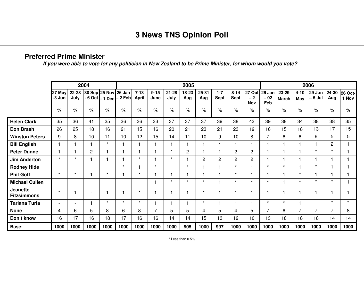#### **Preferred Prime Minister**

If you were able to vote for any politician in New Zealand to be Prime Minister, for whom would you vote?

|                                       |                  |               | 2004           |                      |                                      |                          |                  |                   | 2005           |              |                 |                  |                                     |                        |                       |                 | 2006              |                |                  |
|---------------------------------------|------------------|---------------|----------------|----------------------|--------------------------------------|--------------------------|------------------|-------------------|----------------|--------------|-----------------|------------------|-------------------------------------|------------------------|-----------------------|-----------------|-------------------|----------------|------------------|
|                                       | 27 May<br>-3 Jun | 22-28<br>July |                | 30 Sep 25 Nov 26 Jan | - 6 Oct   - 1 Dec <del>  2</del> Feb | $7 - 13$<br><b>April</b> | $9 - 15$<br>June | $21 - 28$<br>July | 18-23<br>Aug   | 25-31<br>Aug | $1 - 7$<br>Sept | $8 - 14$<br>Sept | <b>27 Oct</b><br>$-2$<br><b>Nov</b> | 26 Jan<br>$-02$<br>Feb | 23-29<br><b>March</b> | $4 - 10$<br>May | 29 Jun<br>– 5 Jul | 24-30<br>Aug   | 26 Oct-<br>1 Nov |
|                                       | $\%$             | $\%$          | $\%$           | $\%$                 | $\%$                                 | $\%$                     | $\%$             | $\%$              | $\%$           | $\%$         | $\%$            | $\frac{1}{2}$    | $\%$                                | $\%$                   | $\%$                  | $\%$            | $\%$              | $\%$           | %                |
| <b>Helen Clark</b>                    | 35               | 36            | 41             | 35                   | 36                                   | 36                       | 33               | 37                | 37             | 37           | 39              | 38               | 43                                  | 39                     | 38                    | 34              | 38                | 38             | 35               |
| <b>Don Brash</b>                      | 26               | 25            | 18             | 16                   | 21                                   | 15                       | 16               | 20                | 21             | 23           | 21              | 23               | 19                                  | 16                     | 15                    | 18              | 13                | 17             | 15               |
| <b>Winston Peters</b>                 | 9                | 8             | 10             | 11                   | 10                                   | 12                       | 15               | 14                | 11             | 10           | 9               | 10               | 8                                   | $\overline{7}$         | 6                     | 6               | 6                 | 5              | 5                |
| <b>Bill English</b>                   |                  |               |                | $\star$              |                                      |                          |                  | 1                 | 1              |              | $\star$         |                  |                                     |                        |                       |                 | 1                 | $\overline{c}$ |                  |
| <b>Peter Dunne</b>                    |                  |               | $\overline{c}$ |                      |                                      |                          |                  | $\star$           | $\overline{2}$ |              |                 | $\overline{c}$   | $\overline{c}$                      |                        |                       |                 | $\star$           | $\star$        |                  |
| <b>Jim Anderton</b>                   | $\star$          | $\star$       |                |                      |                                      | $\star$                  |                  | $\star$           | 1              | 2            | $\overline{2}$  | $\overline{c}$   | $\overline{c}$                      |                        |                       |                 | 1                 |                |                  |
| <b>Rodney Hide</b>                    |                  |               |                |                      | $\star$                              |                          | $\star$          |                   | $\star$        |              |                 | $\star$          |                                     | $\star$                | $\star$               |                 | $\star$           |                |                  |
| <b>Phil Goff</b>                      | $\star$          | $\star$       |                | $\star$              |                                      | $\star$                  |                  |                   | 1              |              |                 | $\star$          |                                     |                        |                       | $\star$         | 1                 |                |                  |
| <b>Michael Cullen</b>                 |                  |               |                |                      |                                      |                          |                  | $\star$           | $\star$        | $\star$      |                 | $\star$          | $\star$                             | $\star$                |                       | $\star$         | $\star$           | $\star$        |                  |
| <b>Jeanette</b><br><b>Fitzsimmons</b> | $\star$          |               |                |                      |                                      | $\star$                  |                  | 1                 | 1              | $\star$      |                 |                  |                                     |                        |                       |                 | 1                 |                |                  |
| <b>Tariana Turia</b>                  | ٠                | -             |                | $\star$              | $\star$                              | $\star$                  |                  |                   | 1              | $\star$      |                 |                  |                                     | $\star$                | $\star$               |                 |                   | $\star$        | $\star$          |
| <b>None</b>                           | 4                | 6             | 5              | 8                    | 6                                    | 8                        | 7                | 5                 | 5              | 4            | 5               | 4                | 5                                   | 7                      | 6                     | $\overline{7}$  | 7                 | $\overline{7}$ | 8                |
| Don't know                            | 16               | 17            | 16             | 18                   | 17                                   | 16                       | 16               | 14                | 14             | 15           | 13              | 12               | 10                                  | 13                     | 18                    | 18              | 18                | 14             | 14               |
| Base:                                 | 1000             | 1000          | 1000           | 1000                 | 1000                                 | 1000                     | 1000             | 1000              | 905            | 1000         | 997             | 1000             | 1000                                | 1000                   | 1000                  | 1000            | 1000              | 1000           | 1000             |

\* Less than 0.5%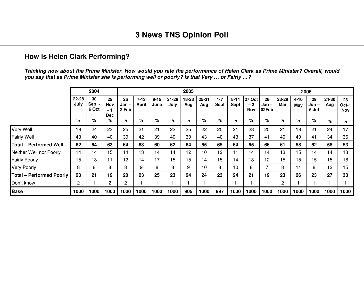#### **How is Helen Clark Performing?**

Thinking now about the Prime Minister. How would you rate the performance of Helen Clark as Prime Minister? Overall, would you say that as Prime Minister she is performing well or poorly? Is that Very ... or Fairly ...?

|                                 |                   | 2004               |                                |                      |                          |                  |                   | 2005         |              |                        |                         |                              |                      |                |                 | 2006                   |              |                    |
|---------------------------------|-------------------|--------------------|--------------------------------|----------------------|--------------------------|------------------|-------------------|--------------|--------------|------------------------|-------------------------|------------------------------|----------------------|----------------|-----------------|------------------------|--------------|--------------------|
|                                 | $22 - 28$<br>July | 30<br>Sep<br>6 Oct | 25<br>Nov<br>- 1<br><b>Dec</b> | 26<br>Jan –<br>2 Feb | $7 - 13$<br><b>April</b> | $9 - 15$<br>June | $21 - 28$<br>July | 18-23<br>Aug | 25-31<br>Aug | $1 - 7$<br><b>Sept</b> | $8 - 14$<br><b>Sept</b> | <b>27 Oct</b><br>$-2$<br>Nov | 26<br>Jan –<br>02Feb | 23-29<br>Mar   | $4 - 10$<br>May | 29<br>$Jun -$<br>5 Jul | 24-30<br>Aug | 26<br>Oct-1<br>Nov |
|                                 | %                 | %                  | %                              | %                    | %                        | %                | %                 | %            | %            | %                      | %                       | %                            | %                    | %              | %               | $\%$                   | %            | %                  |
| Very Well                       | 19                | 24                 | 23                             | 25                   | 21                       | 21               | 22                | 25           | 22           | 25                     | 21                      | 28                           | 25                   | 21             | 18              | 21                     | 24           | 17                 |
| <b>Fairly Well</b>              | 43                | 40                 | 40                             | 39                   | 42                       | 39               | 40                | 39           | 43           | 40                     | 43                      | 37                           | 41                   | 40             | 40              | 41                     | 34           | 36                 |
| <b>Total - Performed Well</b>   | 62                | 64                 | 63                             | 64                   | 63                       | 60               | 62                | 64           | 65           | 65                     | 64                      | 65                           | 66                   | 61             | 58              | 62                     | 58           | 53                 |
| Neither Well nor Poorly         | 14                | 14                 | 15                             | 14                   | 13                       | 14               | 14                | 12           | 10           | 12                     | ۱1                      | 14                           | 14                   | 13             | 15              | 14                     | 14           | 13                 |
| <b>Fairly Poorly</b>            | 15 <sub>15</sub>  | 13                 | 11                             | 12                   | 14                       | 17               | 15                | 15           | 14           | 15                     | 14                      | 13                           | 12                   | 15             | 15              | 15                     | 15           | 18                 |
| <b>Very Poorly</b>              | 8                 | 8                  | 8                              | 8                    | 9                        | 8                | 8                 | 9            | 10           | 8                      | 10                      | 8                            | 7                    | 8              | 11              | 8                      | 12           | 15                 |
| <b>Total - Performed Poorly</b> | 23                | 21                 | 19                             | 20                   | 23                       | 25               | 23                | 24           | 24           | 23                     | 24                      | 21                           | 19                   | 23             | 26              | 23                     | 27           | 33                 |
| Don't know                      | $\overline{2}$    |                    | $\mathbf{2}$                   | $\overline{2}$       |                          |                  |                   |              |              |                        |                         |                              |                      | $\overline{c}$ |                 |                        |              |                    |
| <b>Base</b>                     | 1000              | 1000               | 1000                           | 1000                 | 1000                     | 1000             | 1000              | 905          | 1000         | 997                    | 1000                    | 1000                         | 1000                 | 1000           | 1000            | 1000                   | 1000         | 1000               |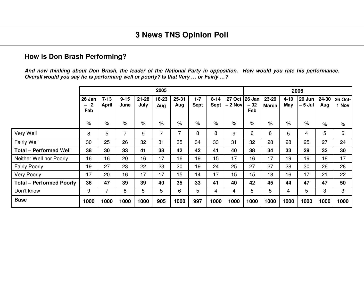#### **How is Don Brash Performing?**

And now thinking about Don Brash, the leader of the National Party in opposition. How would you rate his performance. *Overall would you say he is performing well or poorly? Is that Very … or Fairly …?*

|                                 |                                      |                          |                  |                   | 2005           |                  |                        |                         |          |                               |                |                 | 2006                   |              |                         |
|---------------------------------|--------------------------------------|--------------------------|------------------|-------------------|----------------|------------------|------------------------|-------------------------|----------|-------------------------------|----------------|-----------------|------------------------|--------------|-------------------------|
|                                 | 26 Jan<br>$\overline{2}$<br>—<br>Feb | $7 - 13$<br><b>April</b> | $9 - 15$<br>June | $21 - 28$<br>July | 18-23<br>Aug   | $25 - 31$<br>Aug | $1 - 7$<br><b>Sept</b> | $8 - 14$<br><b>Sept</b> | – 2 Novl | 27 Oct 26 Jan<br>$-02$<br>Feb | 23-29<br>March | $4 - 10$<br>May | 29 Jun $ $<br>$-5$ Jul | 24-30<br>Aug | <b>26 Oct-</b><br>1 Nov |
|                                 | %                                    | %                        | $\%$             | %                 | $\%$           | %                | $\%$                   | %                       | $\%$     | $\%$                          | %              | %               | %                      | $\%$         | %                       |
| Very Well                       | 8                                    | 5                        | 7                | 9                 | $\overline{7}$ | 7                | 8                      | 8                       | 9        | 6                             | 6              | 5               | 4                      | 5            | 6                       |
| <b>Fairly Well</b>              | 30                                   | 25                       | 26               | 32                | 31             | 35               | 34                     | 33                      | 31       | 32                            | 28             | 28              | 25                     | 27           | 24                      |
| <b>Total - Performed Well</b>   | 38                                   | 30                       | 33               | 41                | 38             | 42               | 42                     | 41                      | 40       | 38                            | 34             | 33              | 29                     | 32           | 30                      |
| Neither Well nor Poorly         | 16                                   | 16                       | 20               | 16                | 17             | 16               | 19                     | 15                      | 17       | 16                            | 17             | 19              | 19                     | 18           | 17                      |
| <b>Fairly Poorly</b>            | 19                                   | 27                       | 23               | 22                | 23             | 20               | 19                     | 24                      | 25       | 27                            | 27             | 28              | 30                     | 26           | 28                      |
| <b>Very Poorly</b>              | 17                                   | 20                       | 16               | 17                | 17             | 15               | 14                     | 17                      | 15       | 15                            | 18             | 16              | 17                     | 21           | 22                      |
| <b>Total - Performed Poorly</b> | 36                                   | 47                       | 39               | 39                | 40             | 35               | 33                     | 41                      | 40       | 42                            | 45             | 44              | 47                     | 47           | 50                      |
| Don't know                      | 9                                    |                          | 8                | 5                 | 5              | 6                | 5                      | 4                       | 4        | 5                             | 5              | 4               | 5                      | 3            | 3                       |
| <b>Base</b>                     | 1000                                 | 1000                     | 1000             | 1000              | 905            | 1000             | 997                    | 1000                    | 1000     | 1000                          | 1000           | 1000            | 1000                   | 1000         | 1000                    |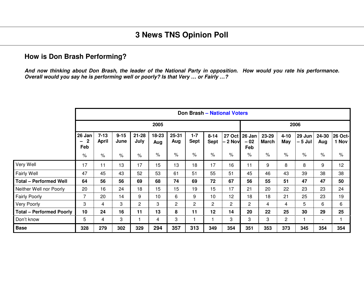#### **How is Don Brash Performing?**

And now thinking about Don Brash, the leader of the National Party in opposition. How would you rate his performance. *Overall would you say he is performing well or poorly? Is that Very … or Fairly …?*

|                                 |                                                          |                   |                  |                   |              |                |                        |                         | <b>Don Brash - National Voters</b> |                        |                       |                        |                   |                          |                  |
|---------------------------------|----------------------------------------------------------|-------------------|------------------|-------------------|--------------|----------------|------------------------|-------------------------|------------------------------------|------------------------|-----------------------|------------------------|-------------------|--------------------------|------------------|
|                                 |                                                          |                   |                  |                   | 2005         |                |                        |                         |                                    |                        |                       |                        | 2006              |                          |                  |
|                                 | 26 Jan<br>$\mathbf 2$<br>$\overline{\phantom{0}}$<br>Feb | $7 - 13$<br>April | $9 - 15$<br>June | $21 - 28$<br>July | 18-23<br>Aug | 25-31<br>Aug   | $1 - 7$<br><b>Sept</b> | $8 - 14$<br><b>Sept</b> | <b>27 Oct</b><br>- 2 Nov           | 26 Jan<br>$-02$<br>Feb | 23-29<br><b>March</b> | $4 - 10$<br><b>May</b> | 29 Jun<br>– 5 Jul | 24-30<br>Aug             | 26 Oct-<br>1 Nov |
|                                 | $\frac{9}{6}$                                            | $\%$              | $\%$             | $\frac{1}{2}$     | $\%$         | $\%$           | $\%$                   | $\%$                    | $\%$                               | $\%$                   | $\frac{1}{2}$         | $\%$                   | $\%$              | $\%$                     | $\%$             |
| Very Well                       | 17                                                       | 11                | 13               | 17                | 15           | 13             | 18                     | 17                      | 16                                 | 11                     | 9                     | 8                      | 8                 | 9                        | 12               |
| <b>Fairly Well</b>              | 47                                                       | 45                | 43               | 52                | 53           | 61             | 51                     | 55                      | 51                                 | 45                     | 46                    | 43                     | 39                | 38                       | 38               |
| <b>Total - Performed Well</b>   | 64                                                       | 56                | 56               | 69                | 68           | 74             | 69                     | 72                      | 67                                 | 56                     | 55                    | 51                     | 47                | 47                       | 50               |
| Neither Well nor Poorly         | 20                                                       | 16                | 24               | 18                | 15           | 15             | 19                     | 15                      | 17                                 | 21                     | 20                    | 22                     | 23                | 23                       | 24               |
| <b>Fairly Poorly</b>            | 7                                                        | 20                | 14               | 9                 | 10           | 6              | 9                      | 10                      | 12                                 | 18                     | 18                    | 21                     | 25                | 23                       | 19               |
| Very Poorly                     | 3                                                        | 4                 | 3                | $\overline{2}$    | 3            | $\overline{c}$ | $\overline{c}$         | $\overline{c}$          | $\overline{c}$                     | $\overline{2}$         | $\overline{4}$        | $\overline{4}$         | 5                 | 6                        | 6                |
| <b>Total - Performed Poorly</b> | 10                                                       | 24                | 16               | 11                | 13           | 8              | 11                     | 12                      | 14                                 | 20                     | 22                    | 25                     | 30                | 29                       | 25               |
| Don't know                      | 5                                                        | 4                 | 3                |                   | 4            | 3              |                        |                         | 3                                  | 3                      | 3                     | $\overline{c}$         |                   | $\overline{\phantom{a}}$ |                  |
| <b>Base</b>                     | 328                                                      | 279               | 302              | 329               | 294          | 357            | 313                    | 349                     | 354                                | 351                    | 353                   | 373                    | 345               | 354                      | 354              |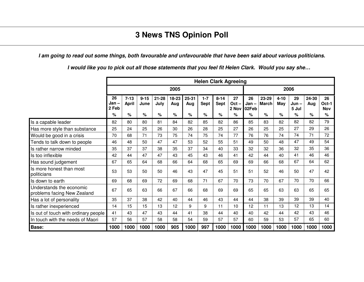I am going to read out some things, both favourable and unfavourable that have been said about various politicians.

**Helen Clark Agreeing 2005 2006 26Jan – 2 Feb7-13April 9-15June21-28July 18-23Aug 25-31Aug 1-7Sept 8-14Sept 27Oct –2 Nov 02Feb26Jan – 23-29March4-10May 29Jun – 5 Jul 24-30Aug 26Oct-1Nov% % % % % % % % % % % % % % %** Is aa capable leader 82 | 80 | 80 | 81 | 84 | 82 | 85 | 88 | 85 | 83 | 82 | 82 | 82 | 79 Has more style than substance 25 24 25 26 30 26 28 25 27 25 27 29 26 Would be good in a crisis 70 68 171 73 75 174 75 174 77 176 176 174 174 177 1 Tends to talk down to people 46 48 50 47 47 53 52 55 51 49 50 48 47 49 54 Is rather narroww minded 35 37 38 35 37 34 40 33 32 36 32 36 36 Is tooo inflexible | 42 | 44 | 47 | 47 | 43 | 45 | 43 | 46 | 41 | 42 | 44 | 40 | 41 | 46 | 46 Has soundd judgement 67 65 64 68 66 68 68 69 69 66 68 67 64 62 Is more honest than most politicians 53 53 53 50 50 46 43 47 45 51 51 52 46 50 47 42<br>Politicians Is downn to earth 69 68 69 72 69 68 71 67 70 73 70 67 70 70 66 Understands the economic problems facing New Zealand <sup>67</sup> <sup>65</sup> <sup>63</sup> <sup>66</sup> <sup>67</sup> <sup>66</sup> <sup>68</sup> <sup>69</sup> <sup>69</sup> <sup>65</sup> <sup>65</sup> <sup>63</sup> <sup>63</sup> <sup>65</sup> <sup>65</sup> Has a lot of personality <sup>35</sup> <sup>37</sup> <sup>38</sup> <sup>42</sup> <sup>40</sup> <sup>44</sup> <sup>46</sup> <sup>43</sup> <sup>44</sup> <sup>44</sup> <sup>38</sup> <sup>39</sup> <sup>39</sup> <sup>39</sup> <sup>40</sup> Is rather inexperienced 14 15 15 13 13 12 9 9 11 10 12 11 13 12 13 14 Is out of touch with ordinary people | 41 | 43 | 47 | 43 | 44 | 41 | 38 | 44 | 40 | 40 | 42 | 44 | 42 | 43 | 46 In touch with the needs of Maori 】 57 | 56 | 57 | 58 | 58 | 59 | 57 | 50 | 50 | 59 | 53 | 57 | 65 | 60 **Base: 10001000 1000 1000 905 1000 997 1000 1000 1000 1000 1000 1000 1000 1000**

I would like you to pick out all those statements that you feel fit Helen Clark. Would you say she...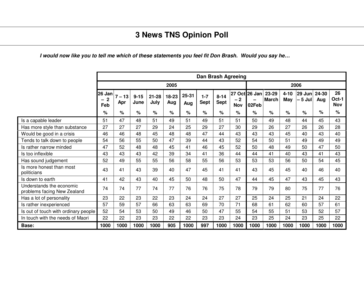#### I would now like you to tell me which of these statements you feel fit Don Brash. Would you say he…

|                                                         |                              |                 |                  |                   |              |              |                        |                         | Dan Brash Agreeing |                        |                       |                        |                    |              |                           |
|---------------------------------------------------------|------------------------------|-----------------|------------------|-------------------|--------------|--------------|------------------------|-------------------------|--------------------|------------------------|-----------------------|------------------------|--------------------|--------------|---------------------------|
|                                                         |                              |                 |                  |                   | 2005         |              |                        |                         |                    |                        |                       |                        | 2006               |              |                           |
|                                                         | 26 Jan<br>$\mathbf 2$<br>Feb | $7 - 13$<br>Apr | $9 - 15$<br>June | $21 - 28$<br>July | 18-23<br>Aug | 25-31<br>Aug | $1 - 7$<br><b>Sept</b> | $8 - 14$<br><b>Sept</b> | $-2$<br><b>Nov</b> | 27 Oct 26 Jan<br>02Feb | 23-29<br><b>March</b> | $4 - 10$<br><b>May</b> | 29 Jun<br>$-5$ Jul | 24-30<br>Aug | 26<br>Oct-1<br><b>Nov</b> |
|                                                         | %                            | %               | %                | %                 | %            | $\%$         | $\%$                   | %                       | %                  | %                      | %                     | %                      | $\%$               | %            | %                         |
| Is a capable leader                                     | 51                           | 47              | 48               | 51                | 49           | 51           | 49                     | 51                      | 51                 | 50                     | 49                    | 48                     | 44                 | 45           | 43                        |
| Has more style than substance                           | 27                           | 27              | 27               | 29                | 24           | 25           | 29                     | 27                      | 30                 | 29                     | 26                    | 27                     | 26                 | 26           | 28                        |
| Would be good in a crisis                               | 46                           | 46              | 48               | 45                | 48           | 48           | 47                     | 44                      | 43                 | 43                     | 43                    | 45                     | 40                 | 43           | 40                        |
| Tends to talk down to people                            | 54                           | 56              | 55               | 50                | 47           | 39           | 44                     | 43                      | 52                 | 54                     | 50                    | 51                     | 49                 | 49           | 49                        |
| Is rather narrow minded                                 | 47                           | 52              | 48               | 48                | 45           | 41           | 46                     | 45                      | 52                 | 50                     | 48                    | 49                     | 50                 | 47           | 50                        |
| Is too inflexible                                       | 43                           | 43              | 43               | 42                | 39           | 34           | 41                     | 36                      | 44                 | 44                     | 41                    | 40                     | 43                 | 41           | 43                        |
| Has sound judgement                                     | 52                           | 49              | 55               | 55                | 56           | 58           | 55                     | 56                      | 53                 | 53                     | 53                    | 56                     | 50                 | 54           | 45                        |
| Is more honest than most<br>politicians                 | 43                           | 41              | 43               | 39                | 40           | 47           | 45                     | 41                      | 41                 | 43                     | 45                    | 45                     | 40                 | 46           | 40                        |
| Is down to earth                                        | 41                           | 42              | 43               | 40                | 45           | 50           | 48                     | 50                      | 47                 | 44                     | 45                    | 47                     | 43                 | 45           | 43                        |
| Understands the economic<br>problems facing New Zealand | 74                           | 74              | 77               | 74                | 77           | 76           | 76                     | 75                      | 78                 | 79                     | 79                    | 80                     | 75                 | 77           | 76                        |
| Has a lot of personality                                | 23                           | 22              | 23               | 22                | 23           | 24           | 24                     | 27                      | 27                 | 25                     | 24                    | 25                     | 21                 | 24           | 22                        |
| Is rather inexperienced                                 | 57                           | 59              | 57               | 66                | 63           | 63           | 69                     | 70                      | 71                 | 68                     | 61                    | 62                     | 60                 | 57           | 61                        |
| Is out of touch with ordinary people                    | 52                           | 54              | 53               | 50                | 49           | 46           | 50                     | 47                      | 55                 | 54                     | 55                    | 51                     | 53                 | 52           | 57                        |
| In touch with the needs of Maori                        | 22                           | 22              | 23               | 23                | 22           | 22           | 23                     | 23                      | 24                 | 23                     | 25                    | 24                     | 23                 | 25           | 22                        |
| Base:                                                   | 1000                         | 1000            | 1000             | 1000              | 905          | 1000         | 997                    | 1000                    | 1000               | 1000                   | 1000                  | 1000                   | 1000               | 1000         | 1000                      |